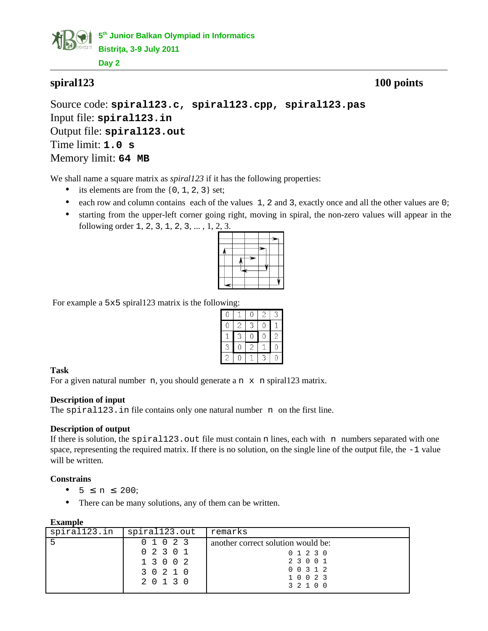

# **spiral123 100 points**

Source code: **spiral123.c, spiral123.cpp, spiral123.pas** Input file: **spiral123.in** Output file: **spiral123.out** Time limit: **1.0 s** Memory limit: **64 MB**

We shall name a square matrix as *spiral123* if it has the following properties:

- its elements are from the  $\{0, 1, 2, 3\}$  set;
- each row and column contains each of the values 1, 2 and 3, exactly once and all the other values are 0;
- starting from the upper-left corner going right, moving in spiral, the non-zero values will appear in the following order 1, 2, 3, 1, 2, 3, ... , 1, 2, 3.

For example a 5x5 spiral123 matrix is the following:

| 0 |                | Ω              | $\overline{c}$ | 3              |
|---|----------------|----------------|----------------|----------------|
| 0 | $\overline{c}$ | 3              | 0              |                |
|   | 3              | Ō              | Ē              | $\overline{c}$ |
| 3 | J              | $\overline{c}$ |                | Ō              |
| 2 | J              |                | 3              | Ω              |

# **Task**

For a given natural number  $n$ , you should generate a  $n \times n$  spiral123 matrix.

### **Description of input**

The spiral123. in file contains only one natural number n on the first line.

### **Description of output**

If there is solution, the Spiral123. out file must contain n lines, each with n numbers separated with one space, representing the required matrix. If there is no solution, on the single line of the output file, the -1 value will be written.

# **Constrains**

- $5 \le n \le 200$ ;
- There can be many solutions, any of them can be written.

| example |
|---------|
|---------|

| -----------  |               |                                    |
|--------------|---------------|------------------------------------|
| spiral123.in | spiral123.out | remarks                            |
| -5           | 0 1 0 2 3     | another correct solution would be: |
|              | 02301         | 0 1 2 3 0                          |
|              | 1 3 0 0 2     | 2 3 0 0 1                          |
|              | 3 0 2 1 0     | 0 0 3 1 2                          |
| 2 0 1 3 0    | 10023         |                                    |
|              |               | 3 2 1 0 0                          |